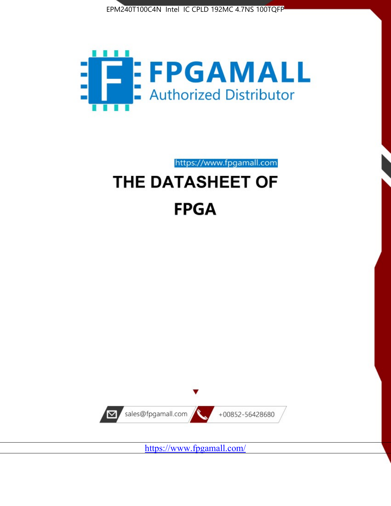



https://www.fpgamall.com

# THE DATASHEET OF **FPGA**



https://www.fpgamall.com/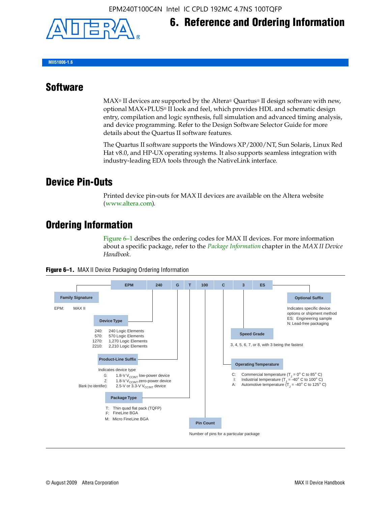

## **6. Reference and Ordering Information**

**MII51006-1.6**

#### **Software**

 $MAX<sup>®</sup>$  II devices are supported by the Altera® Quartus<sup>®</sup> II design software with new, optional MAX+PLUS® II look and feel, which provides HDL and schematic design entry, compilation and logic synthesis, full simulation and advanced timing analysis, and device programming. Refer to the Design Software Selector Guide for more details about the Quartus II software features.

The Quartus II software supports the Windows XP/2000/NT, Sun Solaris, Linux Red Hat v8.0, and HP-UX operating systems. It also supports seamless integration with industry-leading EDA tools through the NativeLink interface.

#### **Device Pin-Outs**

Printed device pin-outs for MAX II devices are available on the Altera website ([www.altera.com](http://www.altera.com/)).

#### **Ordering Information**

Figure 6–1 describes the ordering codes for MAX II devices. For more information about a specific package, refer to the *[Package Information](http://www.altera.com/literature/hb/max2/max2_mii51007.pdf)* chapter in the *MAX II Device Handbook*.



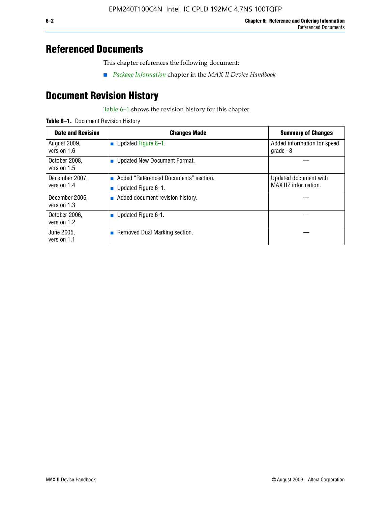### **Referenced Documents**

This chapter references the following document:

■ *[Package Information](http://www.altera.com/literature/hb/max2/max2_mii51007.pdf)* chapter in the *MAX II Device Handbook*

## **Document Revision History**

Table 6–1 shows the revision history for this chapter.

| Table 6-1. Document Revision History |
|--------------------------------------|
|                                      |

| <b>Date and Revision</b>      | <b>Changes Made</b>                                          | <b>Summary of Changes</b>                     |
|-------------------------------|--------------------------------------------------------------|-----------------------------------------------|
| August 2009,<br>version 1.6   | Updated Figure 6-1.<br>п                                     | Added information for speed<br>grade $-8$     |
| October 2008,<br>version 1.5  | Updated New Document Format.                                 |                                               |
| December 2007,<br>version 1.4 | Added "Referenced Documents" section.<br>Updated Figure 6-1. | Updated document with<br>MAX IIZ information. |
| December 2006,<br>version 1.3 | Added document revision history.                             |                                               |
| October 2006.<br>version 1.2  | Updated Figure 6-1.                                          |                                               |
| June 2005.<br>version 1.1     | $\blacksquare$ Removed Dual Marking section.                 |                                               |